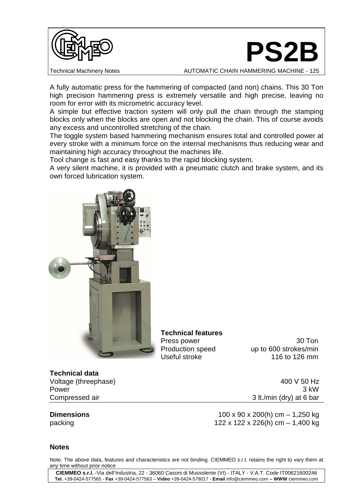



Technical Machinery Notes **AUTOMATIC CHAIN HAMMERING MACHINE - 125** 

A fully automatic press for the hammering of compacted (and non) chains. This 30 Ton high precision hammering press is extremely versatile and high precise, leaving no room for error with its micrometric accuracy level.

A simple but effective traction system will only pull the chain through the stamping blocks only when the blocks are open and not blocking the chain. This of course avoids any excess and uncontrolled stretching of the chain.

The toggle system based hammering mechanism ensures total and controlled power at every stroke with a minimum force on the internal mechanisms thus reducing wear and maintaining high accuracy throughout the machines life.

Tool change is fast and easy thanks to the rapid blocking system.

A very silent machine, it is provided with a pneumatic clutch and brake system, and its own forced lubrication system.



**Technical features** 

Press power 30 Ton Production speed up to 600 strokes/min Useful stroke 116 to 126 mm

## **Technical data**

Voltage (threephase) 400 V 50 Hz

Power 3 kW Compressed air 3 lt./min (dry) at 6 bar

**Dimensions** 100 x 90 x 200(h) cm – 1,250 kg packing 122 x 122 x 226(h) cm – 1,400 kg

## **Notes**

Note. The above data, features and characteristics are not binding. CIEMMEO s.r.l. retains the right to vary them at any time without prior notice